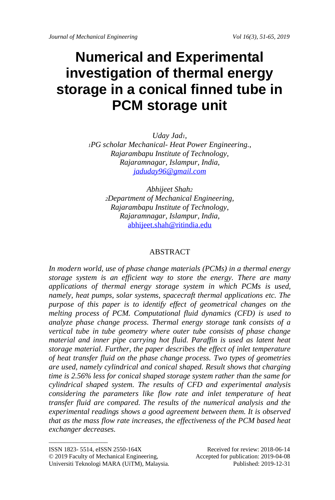# **Numerical and Experimental investigation of thermal energy storage in a conical finned tube in PCM storage unit**

*Uday Jad1, <sup>1</sup>PG scholar Mechanical- Heat Power Engineering., Rajarambapu Institute of Technology, Rajaramnagar, Islampur, India, [jaduday96@gmail.com](mailto:jaduday96@gmail.com)*

> *Abhijeet Shah<sup>2</sup> <sup>2</sup>Department of Mechanical Engineering, Rajarambapu Institute of Technology, Rajaramnagar, Islampur, India,* [abhijeet.shah@ritindia.edu](mailto:abhijeet.shah@ritindia.edu)

### ABSTRACT

*In modern world, use of phase change materials (PCMs) in a thermal energy storage system is an efficient way to store the energy. There are many applications of thermal energy storage system in which PCMs is used, namely, heat pumps, solar systems, spacecraft thermal applications etc. The purpose of this paper is to identify effect of geometrical changes on the melting process of PCM. Computational fluid dynamics (CFD) is used to analyze phase change process. Thermal energy storage tank consists of a vertical tube in tube geometry where outer tube consists of phase change material and inner pipe carrying hot fluid. Paraffin is used as latent heat storage material. Further, the paper describes the effect of inlet temperature of heat transfer fluid on the phase change process. Two types of geometries are used, namely cylindrical and conical shaped. Result shows that charging time is 2.56% less for conical shaped storage system rather than the same for cylindrical shaped system. The results of CFD and experimental analysis considering the parameters like flow rate and inlet temperature of heat transfer fluid are compared. The results of the numerical analysis and the experimental readings shows a good agreement between them. It is observed that as the mass flow rate increases, the effectiveness of the PCM based heat exchanger decreases.*

 $\_$ 

© 2019 Faculty of Mechanical Engineering, Accepted for publication: 2019-04-08

ISSN 1823- 5514, eISSN 2550-164X Received for review: 2018-06-14

Universiti Teknologi MARA (UiTM), Malaysia.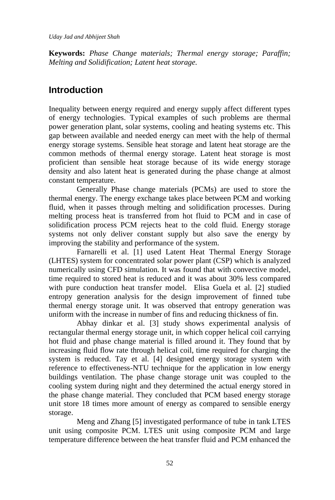*Uday Jad and Abhijeet Shah*

**Keywords:** *Phase Change materials; Thermal energy storage; Paraffin; Melting and Solidification; Latent heat storage.*

# **Introduction**

Inequality between energy required and energy supply affect different types of energy technologies. Typical examples of such problems are thermal power generation plant, solar systems, cooling and heating systems etc. This gap between available and needed energy can meet with the help of thermal energy storage systems. Sensible heat storage and latent heat storage are the common methods of thermal energy storage. Latent heat storage is most proficient than sensible heat storage because of its wide energy storage density and also latent heat is generated during the phase change at almost constant temperature.

Generally Phase change materials (PCMs) are used to store the thermal energy. The energy exchange takes place between PCM and working fluid, when it passes through melting and solidification processes. During melting process heat is transferred from hot fluid to PCM and in case of solidification process PCM rejects heat to the cold fluid. Energy storage systems not only deliver constant supply but also save the energy by improving the stability and performance of the system.

Farnarelli et al. [1] used Latent Heat Thermal Energy Storage (LHTES) system for concentrated solar power plant (CSP) which is analyzed numerically using CFD simulation. It was found that with convective model, time required to stored heat is reduced and it was about 30% less compared with pure conduction heat transfer model. Elisa Guela et al. [2] studied entropy generation analysis for the design improvement of finned tube thermal energy storage unit. It was observed that entropy generation was uniform with the increase in number of fins and reducing thickness of fin.

Abhay dinkar et al. [3] study shows experimental analysis of rectangular thermal energy storage unit, in which copper helical coil carrying hot fluid and phase change material is filled around it. They found that by increasing fluid flow rate through helical coil, time required for charging the system is reduced. Tay et al. [4] designed energy storage system with reference to effectiveness-NTU technique for the application in low energy buildings ventilation. The phase change storage unit was coupled to the cooling system during night and they determined the actual energy stored in the phase change material. They concluded that PCM based energy storage unit store 18 times more amount of energy as compared to sensible energy storage.

Meng and Zhang [5] investigated performance of tube in tank LTES unit using composite PCM. LTES unit using composite PCM and large temperature difference between the heat transfer fluid and PCM enhanced the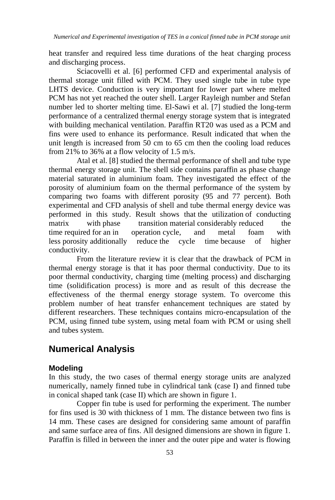heat transfer and required less time durations of the heat charging process and discharging process.

Sciacovelli et al. [6] performed CFD and experimental analysis of thermal storage unit filled with PCM. They used single tube in tube type LHTS device. Conduction is very important for lower part where melted PCM has not yet reached the outer shell. Larger Rayleigh number and Stefan number led to shorter melting time. El-Sawi et al. [7] studied the long-term performance of a centralized thermal energy storage system that is integrated with building mechanical ventilation. Paraffin RT20 was used as a PCM and fins were used to enhance its performance. Result indicated that when the unit length is increased from 50 cm to 65 cm then the cooling load reduces from 21% to 36% at a flow velocity of 1.5 m/s.

Atal et al. [8] studied the thermal performance of shell and tube type thermal energy storage unit. The shell side contains paraffin as phase change material saturated in aluminium foam. They investigated the effect of the porosity of aluminium foam on the thermal performance of the system by comparing two foams with different porosity (95 and 77 percent). Both experimental and CFD analysis of shell and tube thermal energy device was performed in this study. Result shows that the utilization of conducting matrix with phase transition material considerably reduced the time required for an in operation cycle, and metal foam with less porosity additionally reduce the cycle time because of higher conductivity.

From the literature review it is clear that the drawback of PCM in thermal energy storage is that it has poor thermal conductivity. Due to its poor thermal conductivity, charging time (melting process) and discharging time (solidification process) is more and as result of this decrease the effectiveness of the thermal energy storage system. To overcome this problem number of heat transfer enhancement techniques are stated by different researchers. These techniques contains micro-encapsulation of the PCM, using finned tube system, using metal foam with PCM or using shell and tubes system.

### **Numerical Analysis**

#### **Modeling**

In this study, the two cases of thermal energy storage units are analyzed numerically, namely finned tube in cylindrical tank (case I) and finned tube in conical shaped tank (case II) which are shown in figure 1.

Copper fin tube is used for performing the experiment. The number for fins used is 30 with thickness of 1 mm. The distance between two fins is 14 mm. These cases are designed for considering same amount of paraffin and same surface area of fins. All designed dimensions are shown in figure 1. Paraffin is filled in between the inner and the outer pipe and water is flowing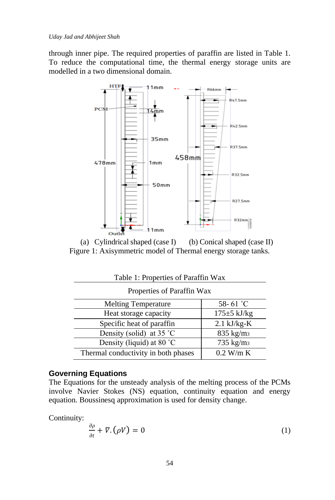through inner pipe. The required properties of paraffin are listed in Table 1. To reduce the computational time, the thermal energy storage units are modelled in a two dimensional domain.



(a) Cylindrical shaped (case I) (b) Conical shaped (case II) Figure 1: Axisymmetric model of Thermal energy storage tanks.

| Table 1: Properties of Paraffin Wax |                       |  |
|-------------------------------------|-----------------------|--|
| Properties of Paraffin Wax          |                       |  |
| <b>Melting Temperature</b>          | 58-61 $^{\circ}$ C    |  |
| Heat storage capacity               | $175 \pm 5$ kJ/kg     |  |
| Specific heat of paraffin           | $2.1$ kJ/kg-K         |  |
| Density (solid) at 35 °C            | 835 kg/m <sub>3</sub> |  |
| Density (liquid) at 80 °C           | 735 kg/m <sub>3</sub> |  |
| Thermal conductivity in both phases | $0.2$ W/m K           |  |

### **Governing Equations**

The Equations for the unsteady analysis of the melting process of the PCMs involve Navier Stokes (NS) equation, continuity equation and energy equation. Boussinesq approximation is used for density change.

Continuity:

$$
\frac{\partial \rho}{\partial t} + \nabla \cdot (\rho V) = 0 \tag{1}
$$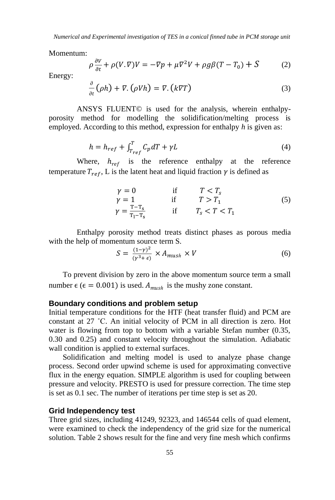*Numerical and Experimental investigation of TES in a conical finned tube in PCM storage unit*

Momentum:

$$
\rho \frac{\partial V}{\partial t} + \rho (V, \nabla) V = -\nabla p + \mu \nabla^2 V + \rho g \beta (T - T_0) + S \tag{2}
$$

Energy:

$$
\frac{\partial}{\partial t}(\rho h) + \nabla \cdot (\rho V h) = \nabla \cdot (k \nabla T) \tag{3}
$$

ANSYS FLUENT© is used for the analysis, wherein enthalpyporosity method for modelling the solidification/melting process is employed. According to this method, expression for enthalpy *h* is given as:

$$
h = h_{ref} + \int_{T_{ref}}^{T} C_p dT + \gamma L \tag{4}
$$

Where,  $h_{ref}$  is the reference enthalpy at the reference temperature  $T_{ref}$ , L is the latent heat and liquid fraction  $\gamma$  is defined as

$$
\begin{array}{ll}\n\gamma = 0 & \text{if} & T < T_s \\
\gamma = 1 & \text{if} & T > T_1 \\
\gamma = \frac{T - T_s}{T_1 - T_s} & \text{if} & T_s < T < T_1\n\end{array} \tag{5}
$$

Enthalpy porosity method treats distinct phases as porous media with the help of momentum source term S.

$$
S = \frac{(1-\gamma)^2}{(\gamma^3 + \epsilon)} \times A_{mush} \times V \tag{6}
$$

To prevent division by zero in the above momentum source term a small number  $\epsilon$  ( $\epsilon$  = 0.001) is used.  $A_{mush}$  is the mushy zone constant.

### **Boundary conditions and problem setup**

Initial temperature conditions for the HTF (heat transfer fluid) and PCM are constant at 27 ˚C. An initial velocity of PCM in all direction is zero. Hot water is flowing from top to bottom with a variable Stefan number (0.35, 0.30 and 0.25) and constant velocity throughout the simulation. Adiabatic wall condition is applied to external surfaces.

Solidification and melting model is used to analyze phase change process. Second order upwind scheme is used for approximating convective flux in the energy equation. SIMPLE algorithm is used for coupling between pressure and velocity. PRESTO is used for pressure correction. The time step is set as 0.1 sec. The number of iterations per time step is set as 20.

### **Grid Independency test**

Three grid sizes, including 41249, 92323, and 146544 cells of quad element, were examined to check the independency of the grid size for the numerical solution. Table 2 shows result for the fine and very fine mesh which confirms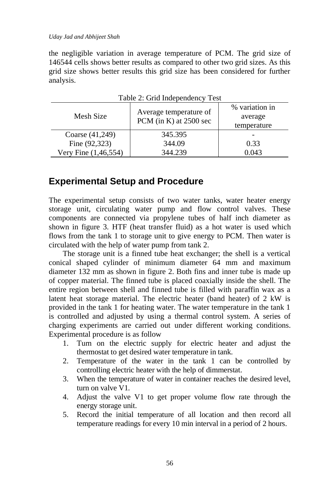#### *Uday Jad and Abhijeet Shah*

the negligible variation in average temperature of PCM. The grid size of 146544 cells shows better results as compared to other two grid sizes. As this grid size shows better results this grid size has been considered for further analysis.

| $1$ ave $2$ . Ond independency $1$ est |                                                    |                                          |
|----------------------------------------|----------------------------------------------------|------------------------------------------|
| Mesh Size                              | Average temperature of<br>PCM (in K) at $2500$ sec | % variation in<br>average<br>temperature |
| Coarse (41,249)                        | 345.395                                            |                                          |
| Fine (92,323)                          | 344.09                                             | 0.33                                     |
| Very Fine (1,46,554)                   | 344.239                                            | 0.043                                    |

Table 2: Grid Independency Test

### **Experimental Setup and Procedure**

The experimental setup consists of two water tanks, water heater energy storage unit, circulating water pump and flow control valves. These components are connected via propylene tubes of half inch diameter as shown in figure 3. HTF (heat transfer fluid) as a hot water is used which flows from the tank 1 to storage unit to give energy to PCM. Then water is circulated with the help of water pump from tank 2.

The storage unit is a finned tube heat exchanger; the shell is a vertical conical shaped cylinder of minimum diameter 64 mm and maximum diameter 132 mm as shown in figure 2. Both fins and inner tube is made up of copper material. The finned tube is placed coaxially inside the shell. The entire region between shell and finned tube is filled with paraffin wax as a latent heat storage material. The electric heater (band heater) of 2 kW is provided in the tank 1 for heating water. The water temperature in the tank 1 is controlled and adjusted by using a thermal control system. A series of charging experiments are carried out under different working conditions. Experimental procedure is as follow

- 1. Turn on the electric supply for electric heater and adjust the thermostat to get desired water temperature in tank.
- 2. Temperature of the water in the tank 1 can be controlled by controlling electric heater with the help of dimmerstat.
- 3. When the temperature of water in container reaches the desired level, turn on valve V1.
- 4. Adjust the valve V1 to get proper volume flow rate through the energy storage unit.
- 5. Record the initial temperature of all location and then record all temperature readings for every 10 min interval in a period of 2 hours.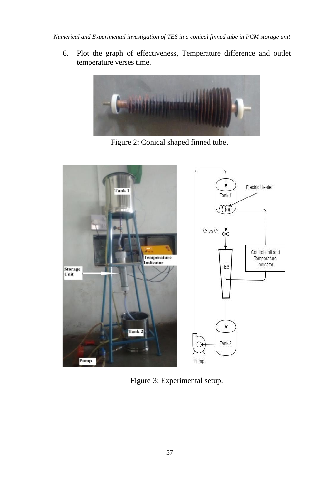*Numerical and Experimental investigation of TES in a conical finned tube in PCM storage unit*

6. Plot the graph of effectiveness, Temperature difference and outlet temperature verses time.



Figure 2: Conical shaped finned tube.



Figure 3: Experimental setup.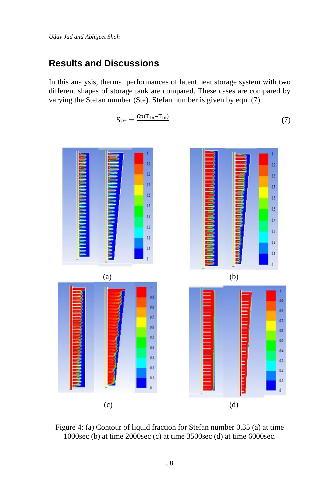# **Results and Discussions**

In this analysis, thermal performances of latent heat storage system with two different shapes of storage tank are compared. These cases are compared by varying the Stefan number (Ste). Stefan number is given by eqn. (7).

$$
\frac{1}{\frac{1}{\frac{1}{\frac{1}{\sqrt{1+\frac{1}{\sqrt{1+\frac{1}{\sqrt{1+\frac{1}{\sqrt{1+\frac{1}{\sqrt{1+\frac{1}{\sqrt{1+\frac{1}{\sqrt{1+\frac{1}{\sqrt{1+\frac{1}{\sqrt{1+\frac{1}{\sqrt{1+\frac{1}{\sqrt{1+\frac{1}{\sqrt{1+\frac{1}{\sqrt{1+\frac{1}{\sqrt{1+\frac{1}{\sqrt{1+\frac{1}{\sqrt{1+\frac{1}{\sqrt{1+\frac{1}{\sqrt{1+\frac{1}{\sqrt{1+\frac{1}{\sqrt{1+\frac{1}{\sqrt{1+\frac{1}{\sqrt{1+\frac{1}{\sqrt{1+\frac{1}{\sqrt{1+\frac{1}{\sqrt{1+\frac{1}{\sqrt{1+\frac{1}{\sqrt{1+\frac{1}{\sqrt{1+\frac{1}{\sqrt{1+\frac{1}{\sqrt{1+\frac{1}{\sqrt{1+\frac{1}{\sqrt{1+\frac{1}{\sqrt{1+\frac{1}{\sqrt{1+\frac{1}{\sqrt{1+\frac{1}{\sqrt{1+\frac{1}{\sqrt{1+\frac{1}{\sqrt{1+\frac{1}{\sqrt{1+\frac{1}{\sqrt{1+\frac{1}{\sqrt{1+\frac{1}{\sqrt{1+\frac{1}{\sqrt{1+\frac{1}{\sqrt{1+\frac{1}{\sqrt{1+\frac{1}{\sqrt{1+\frac{1}{\sqrt{1+\frac{1}{\sqrt{1+\frac{1}{\sqrt{1+\frac{1}{\sqrt{1+\frac{1}{\sqrt{1+\frac{1}{\sqrt{1+\frac{1}{\sqrt{1+\frac{1}{\sqrt{1+\frac{1}{\sqrt{1+\frac{1}{\sqrt{1+\frac{1}{\sqrt{1+\frac{1}{1+\frac{1}{\sqrt{1+\frac{1}{\sqrt{1+\frac{1}{\sqrt{1+\frac{1}{\sqrt{1+\frac{1}{\sqrt{1+\frac{1}{\sqrt{1+\frac{1}{\sqrt{1+\frac{1}{\sqrt{1+\frac{1}{\sqrt{1+\frac{1}{\sqrt{1+\frac{1}{\sqrt{1+\frac{1}{\sqrt{1+\frac{1}{\sqrt{1+\frac{1}{\sqrt{1+\frac{1}{\sqrt{1+\frac{1}{\sqrt{1+\frac{1}{\sqrt{1+\frac{1}{1+\frac{1}{\sqrt{1+\frac{1}{\sqrt{1+\frac{1}{1+\frac{1}{\sqrt{1+\frac{1}{1+\frac{1}{1+\frac{1}{1+\frac{1}{1+\frac{1}{1+\frac{1
$$

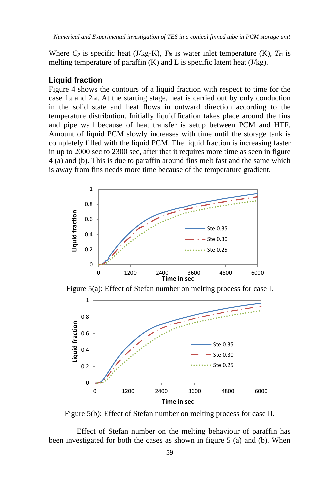Where  $C_p$  is specific heat (J/kg-K),  $T_{in}$  is water inlet temperature (K),  $T_m$  is melting temperature of paraffin  $(K)$  and L is specific latent heat  $(J/kg)$ .

### **Liquid fraction**

Figure 4 shows the contours of a liquid fraction with respect to time for the case 1st and 2nd. At the starting stage, heat is carried out by only conduction in the solid state and heat flows in outward direction according to the temperature distribution. Initially liquidification takes place around the fins and pipe wall because of heat transfer is setup between PCM and HTF. Amount of liquid PCM slowly increases with time until the storage tank is completely filled with the liquid PCM. The liquid fraction is increasing faster in up to 2000 sec to 2300 sec, after that it requires more time as seen in figure 4 (a) and (b). This is due to paraffin around fins melt fast and the same which is away from fins needs more time because of the temperature gradient.







Figure 5(b): Effect of Stefan number on melting process for case II.

Effect of Stefan number on the melting behaviour of paraffin has been investigated for both the cases as shown in figure 5 (a) and (b). When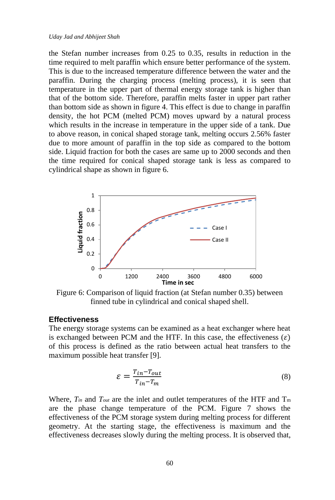the Stefan number increases from 0.25 to 0.35, results in reduction in the time required to melt paraffin which ensure better performance of the system. This is due to the increased temperature difference between the water and the paraffin. During the charging process (melting process), it is seen that temperature in the upper part of thermal energy storage tank is higher than that of the bottom side. Therefore, paraffin melts faster in upper part rather than bottom side as shown in figure 4. This effect is due to change in paraffin density, the hot PCM (melted PCM) moves upward by a natural process which results in the increase in temperature in the upper side of a tank. Due to above reason, in conical shaped storage tank, melting occurs 2.56% faster due to more amount of paraffin in the top side as compared to the bottom side. Liquid fraction for both the cases are same up to 2000 seconds and then the time required for conical shaped storage tank is less as compared to cylindrical shape as shown in figure 6.



Figure 6: Comparison of liquid fraction (at Stefan number 0.35) between finned tube in cylindrical and conical shaped shell.

### **Effectiveness**

The energy storage systems can be examined as a heat exchanger where heat is exchanged between PCM and the HTF. In this case, the effectiveness  $(\varepsilon)$ of this process is defined as the ratio between actual heat transfers to the maximum possible heat transfer [9].

$$
\varepsilon = \frac{T_{in} - T_{out}}{T_{in} - T_m} \tag{8}
$$

Where,  $T_{in}$  and  $T_{out}$  are the inlet and outlet temperatures of the HTF and  $T_m$ are the phase change temperature of the PCM. Figure 7 shows the effectiveness of the PCM storage system during melting process for different geometry. At the starting stage, the effectiveness is maximum and the effectiveness decreases slowly during the melting process. It is observed that,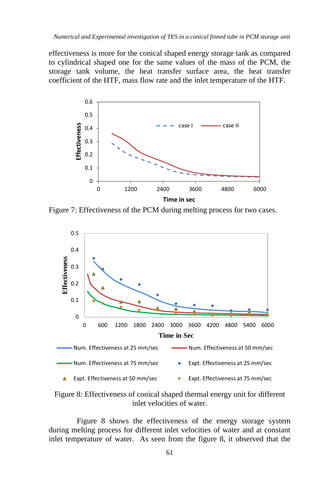effectiveness is more for the conical shaped energy storage tank as compared to cylindrical shaped one for the same values of the mass of the PCM, the storage tank volume, the heat transfer surface area, the heat transfer coefficient of the HTF, mass flow rate and the inlet temperature of the HTF.



Figure 7: Effectiveness of the PCM during melting process for two cases.



Figure 8: Effectiveness of conical shaped thermal energy unit for different inlet velocities of water.

Figure 8 shows the effectiveness of the energy storage system during melting process for different inlet velocities of water and at constant inlet temperature of water. As seen from the figure 8, it observed that the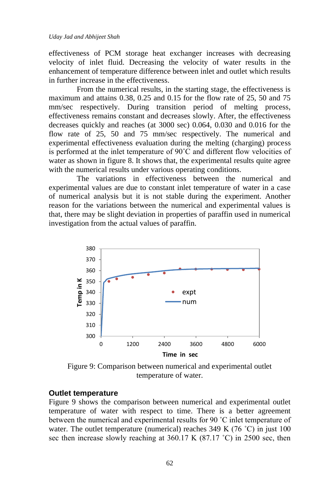effectiveness of PCM storage heat exchanger increases with decreasing velocity of inlet fluid. Decreasing the velocity of water results in the enhancement of temperature difference between inlet and outlet which results in further increase in the effectiveness.

From the numerical results, in the starting stage, the effectiveness is maximum and attains 0.38, 0.25 and 0.15 for the flow rate of 25, 50 and 75 mm/sec respectively. During transition period of melting process, effectiveness remains constant and decreases slowly. After, the effectiveness decreases quickly and reaches (at 3000 sec) 0.064, 0.030 and 0.016 for the flow rate of 25, 50 and 75 mm/sec respectively. The numerical and experimental effectiveness evaluation during the melting (charging) process is performed at the inlet temperature of 90˚C and different flow velocities of water as shown in figure 8. It shows that, the experimental results quite agree with the numerical results under various operating conditions.

The variations in effectiveness between the numerical and experimental values are due to constant inlet temperature of water in a case of numerical analysis but it is not stable during the experiment. Another reason for the variations between the numerical and experimental values is that, there may be slight deviation in properties of paraffin used in numerical investigation from the actual values of paraffin.



Figure 9: Comparison between numerical and experimental outlet temperature of water.

### **Outlet temperature**

Figure 9 shows the comparison between numerical and experimental outlet temperature of water with respect to time. There is a better agreement between the numerical and experimental results for 90 ˚C inlet temperature of water. The outlet temperature (numerical) reaches  $349 \text{ K} (76 \degree \text{C})$  in just  $100 \text{ C}$ sec then increase slowly reaching at 360.17 K (87.17 °C) in 2500 sec, then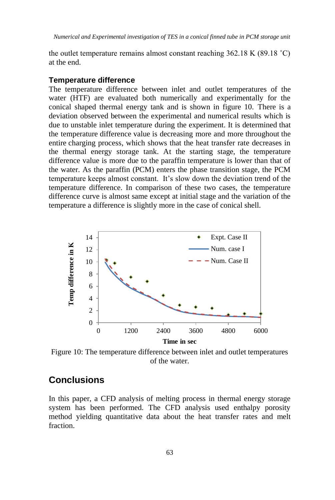the outlet temperature remains almost constant reaching  $362.18$  K (89.18 °C) at the end.

#### **Temperature difference**

The temperature difference between inlet and outlet temperatures of the water (HTF) are evaluated both numerically and experimentally for the conical shaped thermal energy tank and is shown in figure 10. There is a deviation observed between the experimental and numerical results which is due to unstable inlet temperature during the experiment. It is determined that the temperature difference value is decreasing more and more throughout the entire charging process, which shows that the heat transfer rate decreases in the thermal energy storage tank. At the starting stage, the temperature difference value is more due to the paraffin temperature is lower than that of the water. As the paraffin (PCM) enters the phase transition stage, the PCM temperature keeps almost constant. It's slow down the deviation trend of the temperature difference. In comparison of these two cases, the temperature difference curve is almost same except at initial stage and the variation of the temperature a difference is slightly more in the case of conical shell.



Figure 10: The temperature difference between inlet and outlet temperatures of the water.

# **Conclusions**

In this paper, a CFD analysis of melting process in thermal energy storage system has been performed. The CFD analysis used enthalpy porosity method yielding quantitative data about the heat transfer rates and melt fraction.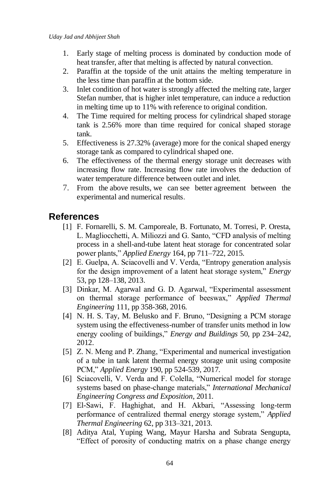- 1. Early stage of melting process is dominated by conduction mode of heat transfer, after that melting is affected by natural convection.
- 2. Paraffin at the topside of the unit attains the melting temperature in the less time than paraffin at the bottom side.
- 3. Inlet condition of hot water is strongly affected the melting rate, larger Stefan number, that is higher inlet temperature, can induce a reduction in melting time up to 11% with reference to original condition.
- 4. The Time required for melting process for cylindrical shaped storage tank is 2.56% more than time required for conical shaped storage tank.
- 5. Effectiveness is 27.32% (average) more for the conical shaped energy storage tank as compared to cylindrical shaped one.
- 6. The effectiveness of the thermal energy storage unit decreases with increasing flow rate. Increasing flow rate involves the deduction of water temperature difference between outlet and inlet.
- 7. From the above results, we can see better agreement between the experimental and numerical results.

# **References**

- [1] F. Fornarelli, S. M. Camporeale, B. Fortunato, M. Torresi, P. Oresta, L. Magliocchetti, A. Miliozzi and G. Santo, "CFD analysis of melting process in a shell-and-tube latent heat storage for concentrated solar power plants," *Applied Energy* 164, pp 711–722, 2015.
- [2] E. Guelpa, A. Sciacovelli and V. Verda, "Entropy generation analysis for the design improvement of a latent heat storage system," *Energy* 53, pp 128–138, 2013.
- [3] Dinkar, M. Agarwal and G. D. Agarwal, "Experimental assessment on thermal storage performance of beeswax," *Applied Thermal Engineering* 111, pp 358-368, 2016.
- [4] N. H. S. Tay, M. Belusko and F. Bruno, "Designing a PCM storage system using the effectiveness-number of transfer units method in low energy cooling of buildings," *Energy and Buildings* 50, pp 234–242, 2012.
- [5] Z. N. Meng and P. Zhang, "Experimental and numerical investigation of a tube in tank latent thermal energy storage unit using composite PCM," *Applied Energy* 190, pp 524-539, 2017.
- [6] Sciacovelli, V. Verda and F. Colella, "Numerical model for storage systems based on phase-change materials," *International Mechanical Engineering Congress and Exposition*, 2011.
- [7] El-Sawi, F. Haghighat, and H. Akbari, "Assessing long-term performance of centralized thermal energy storage system," *Applied Thermal Engineering* 62, pp 313–321, 2013.
- [8] Aditya Atal, Yuping Wang, Mayur Harsha and Subrata Sengupta, "Effect of porosity of conducting matrix on a phase change energy